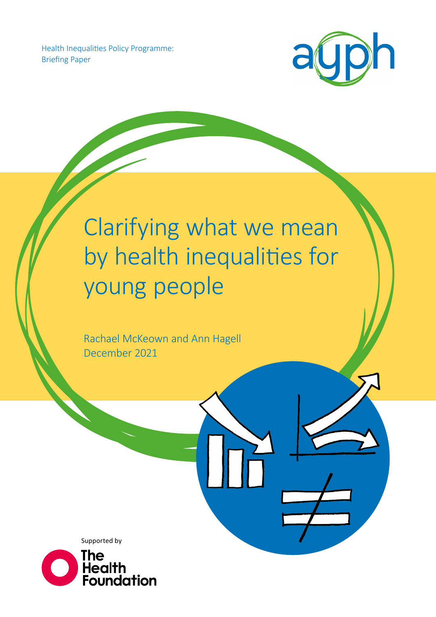Health Inequalities Policy Programme: Briefing Paper



# Clarifying what we mean by health inequalities for young people

Rachael McKeown and Ann Hagell December 2021

Supported by

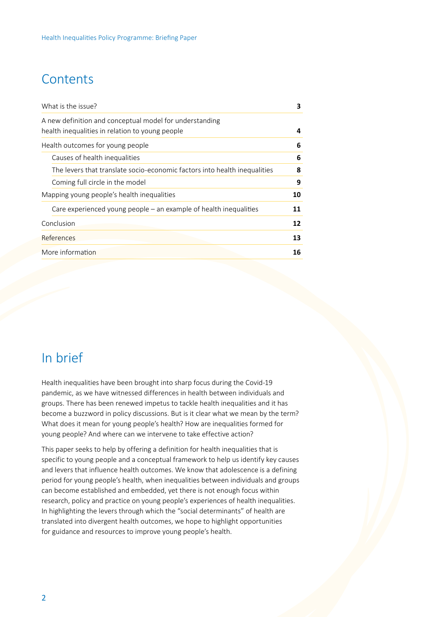# **Contents**

| What is the issue?                                                                                         | 3  |
|------------------------------------------------------------------------------------------------------------|----|
| A new definition and conceptual model for understanding<br>health inequalities in relation to young people | 4  |
| Health outcomes for young people                                                                           | 6  |
| Causes of health inequalities                                                                              | 6  |
| The levers that translate socio-economic factors into health inequalities                                  | 8  |
| Coming full circle in the model                                                                            | 9  |
| Mapping young people's health inequalities                                                                 | 10 |
| Care experienced young people $-$ an example of health inequalities                                        | 11 |
| Conclusion                                                                                                 | 12 |
| References                                                                                                 | 13 |
| More information                                                                                           | 16 |

# In brief

Health inequalities have been brought into sharp focus during the Covid-19 pandemic, as we have witnessed differences in health between individuals and groups. There has been renewed impetus to tackle health inequalities and it has become a buzzword in policy discussions. But is it clear what we mean by the term? What does it mean for young people's health? How are inequalities formed for young people? And where can we intervene to take effective action?

This paper seeks to help by offering a definition for health inequalities that is specific to young people and a conceptual framework to help us identify key causes and levers that influence health outcomes. We know that adolescence is a defining period for young people's health, when inequalities between individuals and groups can become established and embedded, yet there is not enough focus within research, policy and practice on young people's experiences of health inequalities. In highlighting the levers through which the "social determinants" of health are translated into divergent health outcomes, we hope to highlight opportunities for guidance and resources to improve young people's health.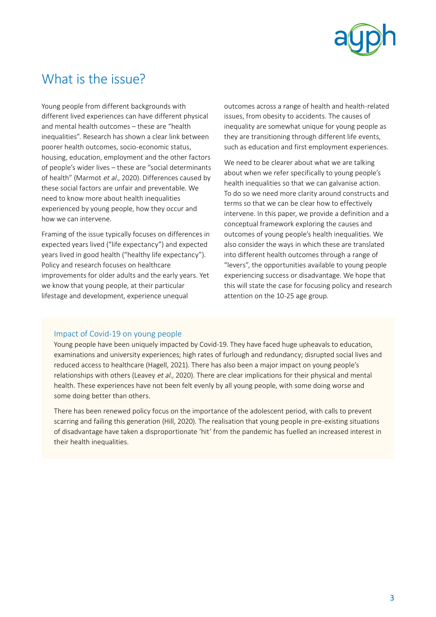

# <span id="page-2-0"></span>What is the issue?

Young people from different backgrounds with different lived experiences can have different physical and mental health outcomes – these are "health inequalities". Research has shown a clear link between poorer health outcomes, socio-economic status, housing, education, employment and the other factors of people's wider lives – these are "social determinants of health" (Marmot et al., 2020). Differences caused by these social factors are unfair and preventable. We need to know more about health inequalities experienced by young people, how they occur and how we can intervene.

Framing of the issue typically focuses on differences in expected years lived ("life expectancy") and expected years lived in good health ("healthy life expectancy"). Policy and research focuses on healthcare improvements for older adults and the early years. Yet we know that young people, at their particular lifestage and development, experience unequal

outcomes across a range of health and health-related issues, from obesity to accidents. The causes of inequality are somewhat unique for young people as they are transitioning through different life events, such as education and first employment experiences.

We need to be clearer about what we are talking about when we refer specifically to young people's health inequalities so that we can galvanise action. To do so we need more clarity around constructs and terms so that we can be clear how to effectively intervene. In this paper, we provide a definition and a conceptual framework exploring the causes and outcomes of young people's health inequalities. We also consider the ways in which these are translated into different health outcomes through a range of "levers", the opportunities available to young people experiencing success or disadvantage. We hope that this will state the case for focusing policy and research attention on the 10-25 age group.

#### Impact of Covid-19 on young people

Young people have been uniquely impacted by Covid-19. They have faced huge upheavals to education, examinations and university experiences; high rates of furlough and redundancy; disrupted social lives and reduced access to healthcare (Hagell, 2021). There has also been a major impact on young people's relationships with others (Leavey et al., 2020). There are clear implications for their physical and mental health. These experiences have not been felt evenly by all young people, with some doing worse and some doing better than others.

There has been renewed policy focus on the importance of the adolescent period, with calls to prevent scarring and failing this generation (Hill, 2020). The realisation that young people in pre-existing situations of disadvantage have taken a disproportionate 'hit' from the pandemic has fuelled an increased interest in their health inequalities.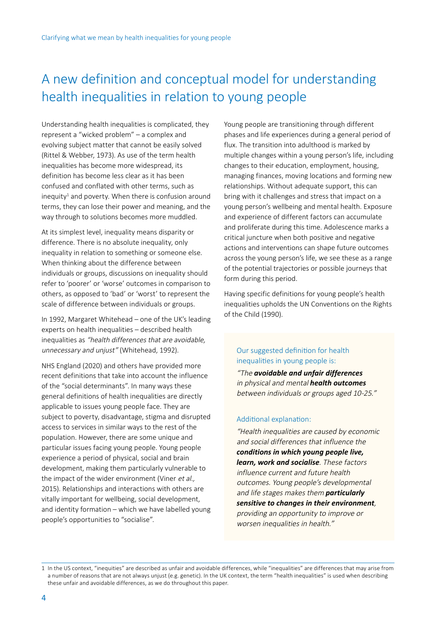# <span id="page-3-0"></span>A new definition and conceptual model for understanding health inequalities in relation to young people

Understanding health inequalities is complicated, they represent a "wicked problem" – a complex and evolving subject matter that cannot be easily solved (Rittel & Webber, 1973). As use of the term health inequalities has become more widespread, its definition has become less clear as it has been confused and conflated with other terms, such as inequity<sup>1</sup> and poverty. When there is confusion around terms, they can lose their power and meaning, and the way through to solutions becomes more muddled.

At its simplest level, inequality means disparity or difference. There is no absolute inequality, only inequality in relation to something or someone else. When thinking about the difference between individuals or groups, discussions on inequality should refer to 'poorer' or 'worse' outcomes in comparison to others, as opposed to 'bad' or 'worst' to represent the scale of difference between individuals or groups.

In 1992, Margaret Whitehead – one of the UK's leading experts on health inequalities – described health inequalities as "health differences that are avoidable, unnecessary and unjust" (Whitehead, 1992).

NHS England (2020) and others have provided more recent definitions that take into account the influence of the "social determinants". In many ways these general definitions of health inequalities are directly applicable to issues young people face. They are subject to poverty, disadvantage, stigma and disrupted access to services in similar ways to the rest of the population. However, there are some unique and particular issues facing young people. Young people experience a period of physical, social and brain development, making them particularly vulnerable to the impact of the wider environment (Viner et al., 2015). Relationships and interactions with others are vitally important for wellbeing, social development, and identity formation – which we have labelled young people's opportunities to "socialise".

Young people are transitioning through different phases and life experiences during a general period of flux. The transition into adulthood is marked by multiple changes within a young person's life, including changes to their education, employment, housing, managing finances, moving locations and forming new relationships. Without adequate support, this can bring with it challenges and stress that impact on a young person's wellbeing and mental health. Exposure and experience of different factors can accumulate and proliferate during this time. Adolescence marks a critical juncture when both positive and negative actions and interventions can shape future outcomes across the young person's life, we see these as a range of the potential trajectories or possible journeys that form during this period.

Having specific definitions for young people's health inequalities upholds the UN Conventions on the Rights of the Child (1990).

#### Our suggested definition for health inequalities in young people is:

"The *avoidable and unfair differences* in physical and mental *health outcomes*  between individuals or groups aged 10-25."

#### Additional explanation:

"Health inequalities are caused by economic and social differences that influence the *conditions in which young people live, learn, work and socialise*. These factors influence current and future health outcomes. Young people's developmental and life stages makes them *particularly sensitive to changes in their environment*, providing an opportunity to improve or worsen inequalities in health."

<sup>1</sup> In the US context, "inequities" are described as unfair and avoidable differences, while "inequalities" are differences that may arise from a number of reasons that are not always unjust (e.g. genetic). In the UK context, the term "health inequalities" is used when describing these unfair and avoidable differences, as we do throughout this paper.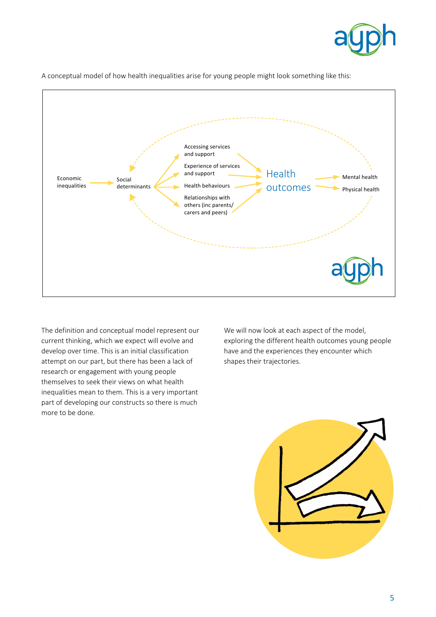



A conceptual model of how health inequalities arise for young people might look something like this:

The definition and conceptual model represent our current thinking, which we expect will evolve and develop over time. This is an initial classification attempt on our part, but there has been a lack of research or engagement with young people themselves to seek their views on what health inequalities mean to them. This is a very important part of developing our constructs so there is much more to be done.

We will now look at each aspect of the model, exploring the different health outcomes young people have and the experiences they encounter which shapes their trajectories.

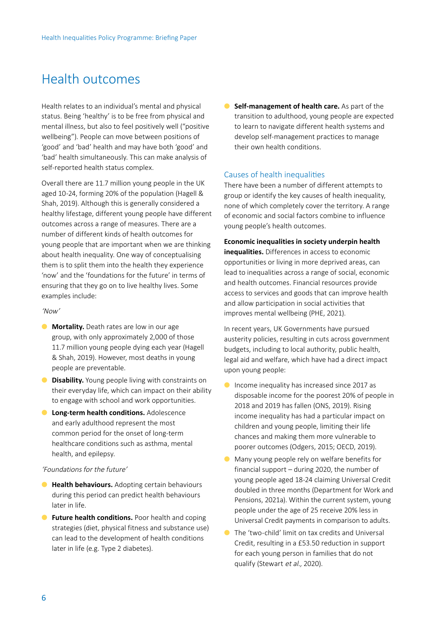### <span id="page-5-0"></span>Health outcomes

Health relates to an individual's mental and physical status. Being 'healthy' is to be free from physical and mental illness, but also to feel positively well ("positive wellbeing"). People can move between positions of 'good' and 'bad' health and may have both 'good' and 'bad' health simultaneously. This can make analysis of self-reported health status complex.

Overall there are 11.7 million young people in the UK aged 10-24, forming 20% of the population (Hagell & Shah, 2019). Although this is generally considered a healthy lifestage, different young people have different outcomes across a range of measures. There are a number of different kinds of health outcomes for young people that are important when we are thinking about health inequality. One way of conceptualising them is to split them into the health they experience 'now' and the 'foundations for the future' in terms of ensuring that they go on to live healthy lives. Some examples include:

#### 'Now'

- **Mortality.** Death rates are low in our age group, with only approximately 2,000 of those 11.7 million young people dying each year (Hagell & Shah, 2019). However, most deaths in young people are preventable.
- **Disability.** Young people living with constraints on their everyday life, which can impact on their ability to engage with school and work opportunities.
- **C** Long-term health conditions. Adolescence and early adulthood represent the most common period for the onset of long-term healthcare conditions such as asthma, mental health, and epilepsy.

#### 'Foundations for the future'

- **Health behaviours.** Adopting certain behaviours during this period can predict health behaviours later in life.
- **Future health conditions.** Poor health and coping strategies (diet, physical fitness and substance use) can lead to the development of health conditions later in life (e.g. Type 2 diabetes).

**• Self-management of health care.** As part of the transition to adulthood, young people are expected to learn to navigate different health systems and develop self-management practices to manage their own health conditions.

#### Causes of health inequalities

There have been a number of different attempts to group or identify the key causes of health inequality, none of which completely cover the territory. A range of economic and social factors combine to influence young people's health outcomes.

#### **Economic inequalities in society underpin health**

**inequalities.** Differences in access to economic opportunities or living in more deprived areas, can lead to inequalities across a range of social, economic and health outcomes. Financial resources provide access to services and goods that can improve health and allow participation in social activities that improves mental wellbeing (PHE, 2021).

In recent years, UK Governments have pursued austerity policies, resulting in cuts across government budgets, including to local authority, public health, legal aid and welfare, which have had a direct impact upon young people:

- Income inequality has increased since 2017 as disposable income for the poorest 20% of people in 2018 and 2019 has fallen (ONS, 2019). Rising income inequality has had a particular impact on children and young people, limiting their life chances and making them more vulnerable to poorer outcomes (Odgers, 2015; OECD, 2019).
- Many young people rely on welfare benefits for financial support – during 2020, the number of young people aged 18-24 claiming Universal Credit doubled in three months (Department for Work and Pensions, 2021a). Within the current system, young people under the age of 25 receive 20% less in Universal Credit payments in comparison to adults.
- The 'two-child' limit on tax credits and Universal Credit, resulting in a £53.50 reduction in support for each young person in families that do not qualify (Stewart et al., 2020).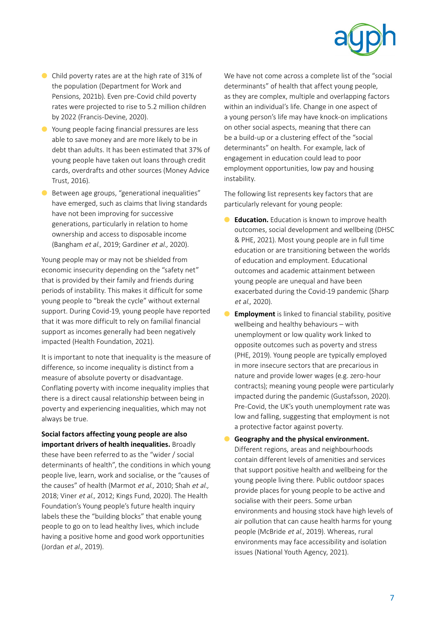

- Child poverty rates are at the high rate of 31% of the population (Department for Work and Pensions, 2021b). Even pre-Covid child poverty rates were projected to rise to 5.2 million children by 2022 (Francis-Devine, 2020).
- Young people facing financial pressures are less able to save money and are more likely to be in debt than adults. It has been estimated that 37% of young people have taken out loans through credit cards, overdrafts and other sources (Money Advice Trust, 2016).
- Between age groups, "generational inequalities" have emerged, such as claims that living standards have not been improving for successive generations, particularly in relation to home ownership and access to disposable income (Bangham et al., 2019; Gardiner et al., 2020).

Young people may or may not be shielded from economic insecurity depending on the "safety net" that is provided by their family and friends during periods of instability. This makes it difficult for some young people to "break the cycle" without external support. During Covid-19, young people have reported that it was more difficult to rely on familial financial support as incomes generally had been negatively impacted (Health Foundation, 2021).

It is important to note that inequality is the measure of difference, so income inequality is distinct from a measure of absolute poverty or disadvantage. Conflating poverty with income inequality implies that there is a direct causal relationship between being in poverty and experiencing inequalities, which may not always be true.

**Social factors affecting young people are also important drivers of health inequalities.** Broadly these have been referred to as the "wider / social determinants of health", the conditions in which young people live, learn, work and socialise, or the "causes of the causes" of health (Marmot et al., 2010; Shah et al., 2018; Viner et al., 2012; Kings Fund, 2020). The Health Foundation's Young people's future health inquiry

labels these the "building blocks" that enable young people to go on to lead healthy lives, which include having a positive home and good work opportunities (Jordan et al., 2019).

We have not come across a complete list of the "social determinants" of health that affect young people, as they are complex, multiple and overlapping factors within an individual's life. Change in one aspect of a young person's life may have knock-on implications on other social aspects, meaning that there can be a build-up or a clustering effect of the "social determinants" on health. For example, lack of engagement in education could lead to poor employment opportunities, low pay and housing instability.

The following list represents key factors that are particularly relevant for young people:

- **Education.** Education is known to improve health outcomes, social development and wellbeing (DHSC & PHE, 2021). Most young people are in full time education or are transitioning between the worlds of education and employment. Educational outcomes and academic attainment between young people are unequal and have been exacerbated during the Covid-19 pandemic (Sharp et al., 2020).
- **C Employment** is linked to financial stability, positive wellbeing and healthy behaviours – with unemployment or low quality work linked to opposite outcomes such as poverty and stress (PHE, 2019). Young people are typically employed in more insecure sectors that are precarious in nature and provide lower wages (e.g. zero-hour contracts); meaning young people were particularly impacted during the pandemic (Gustafsson, 2020). Pre-Covid, the UK's youth unemployment rate was low and falling, suggesting that employment is not a protective factor against poverty.
- **Geography and the physical environment.** Different regions, areas and neighbourhoods contain different levels of amenities and services that support positive health and wellbeing for the young people living there. Public outdoor spaces provide places for young people to be active and socialise with their peers. Some urban environments and housing stock have high levels of air pollution that can cause health harms for young people (McBride et al., 2019). Whereas, rural environments may face accessibility and isolation issues (National Youth Agency, 2021).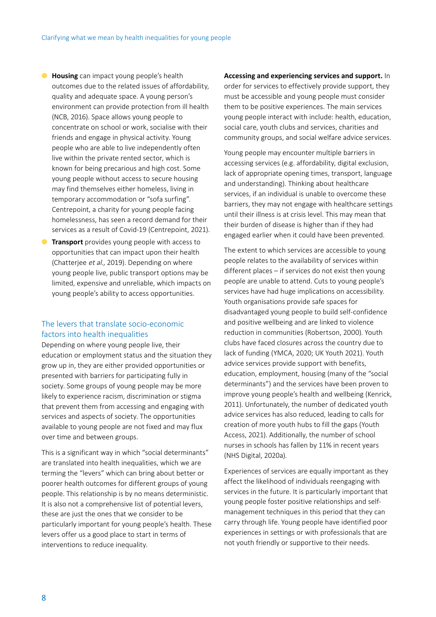- <span id="page-7-0"></span>● **Housing** can impact young people's health outcomes due to the related issues of affordability, quality and adequate space. A young person's environment can provide protection from ill health (NCB, 2016). Space allows young people to concentrate on school or work, socialise with their friends and engage in physical activity. Young people who are able to live independently often live within the private rented sector, which is known for being precarious and high cost. Some young people without access to secure housing may find themselves either homeless, living in temporary accommodation or "sofa surfing". Centrepoint, a charity for young people facing homelessness, has seen a record demand for their services as a result of Covid-19 (Centrepoint, 2021).
- **C Transport** provides young people with access to opportunities that can impact upon their health (Chatterjee et al., 2019). Depending on where young people live, public transport options may be limited, expensive and unreliable, which impacts on young people's ability to access opportunities.

#### The levers that translate socio-economic factors into health inequalities

Depending on where young people live, their education or employment status and the situation they grow up in, they are either provided opportunities or presented with barriers for participating fully in society. Some groups of young people may be more likely to experience racism, discrimination or stigma that prevent them from accessing and engaging with services and aspects of society. The opportunities available to young people are not fixed and may flux over time and between groups.

This is a significant way in which "social determinants" are translated into health inequalities, which we are terming the "levers" which can bring about better or poorer health outcomes for different groups of young people. This relationship is by no means deterministic. It is also not a comprehensive list of potential levers, these are just the ones that we consider to be particularly important for young people's health. These levers offer us a good place to start in terms of interventions to reduce inequality.

#### **Accessing and experiencing services and support.** In

order for services to effectively provide support, they must be accessible and young people must consider them to be positive experiences. The main services young people interact with include: health, education, social care, youth clubs and services, charities and community groups, and social welfare advice services.

Young people may encounter multiple barriers in accessing services (e.g. affordability, digital exclusion, lack of appropriate opening times, transport, language and understanding). Thinking about healthcare services, if an individual is unable to overcome these barriers, they may not engage with healthcare settings until their illness is at crisis level. This may mean that their burden of disease is higher than if they had engaged earlier when it could have been prevented.

The extent to which services are accessible to young people relates to the availability of services within different places – if services do not exist then young people are unable to attend. Cuts to young people's services have had huge implications on accessibility. Youth organisations provide safe spaces for disadvantaged young people to build self-confidence and positive wellbeing and are linked to violence reduction in communities (Robertson, 2000). Youth clubs have faced closures across the country due to lack of funding (YMCA, 2020; UK Youth 2021). Youth advice services provide support with benefits, education, employment, housing (many of the "social determinants") and the services have been proven to improve young people's health and wellbeing (Kenrick, 2011). Unfortunately, the number of dedicated youth advice services has also reduced, leading to calls for creation of more youth hubs to fill the gaps (Youth Access, 2021). Additionally, the number of school nurses in schools has fallen by 11% in recent years (NHS Digital, 2020a).

Experiences of services are equally important as they affect the likelihood of individuals reengaging with services in the future. It is particularly important that young people foster positive relationships and selfmanagement techniques in this period that they can carry through life. Young people have identified poor experiences in settings or with professionals that are not youth friendly or supportive to their needs.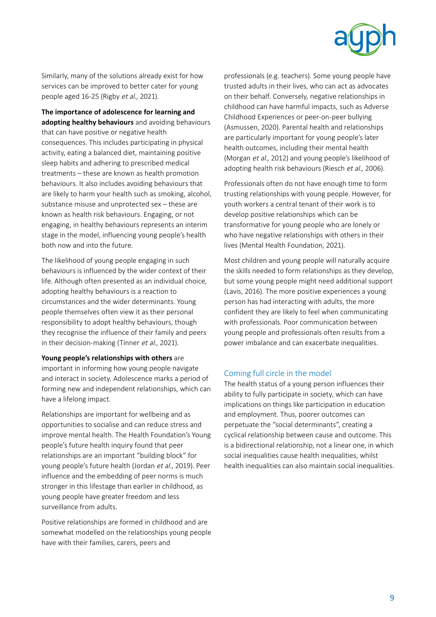

<span id="page-8-0"></span>Similarly, many of the solutions already exist for how services can be improved to better cater for young people aged 16-25 (Rigby et al., 2021).

**The importance of adolescence for learning and adopting healthy behaviours** and avoiding behaviours that can have positive or negative health consequences. This includes participating in physical activity, eating a balanced diet, maintaining positive sleep habits and adhering to prescribed medical treatments – these are known as health promotion behaviours. It also includes avoiding behaviours that are likely to harm your health such as smoking, alcohol, substance misuse and unprotected sex – these are known as health risk behaviours. Engaging, or not engaging, in healthy behaviours represents an interim stage in the model, influencing young people's health both now and into the future.

The likelihood of young people engaging in such behaviours is influenced by the wider context of their life. Although often presented as an individual choice, adopting healthy behaviours is a reaction to circumstances and the wider determinants. Young people themselves often view it as their personal responsibility to adopt healthy behaviours, though they recognise the influence of their family and peers in their decision-making (Tinner et al., 2021).

**Young people's relationships with others** are important in informing how young people navigate and interact in society. Adolescence marks a period of forming new and independent relationships, which can have a lifelong impact.

Relationships are important for wellbeing and as opportunities to socialise and can reduce stress and improve mental health. The Health Foundation's Young people's future health inquiry found that peer relationships are an important "building block" for young people's future health (Jordan et al., 2019). Peer influence and the embedding of peer norms is much stronger in this lifestage than earlier in childhood, as young people have greater freedom and less surveillance from adults.

Positive relationships are formed in childhood and are somewhat modelled on the relationships young people have with their families, carers, peers and

professionals (e.g. teachers). Some young people have trusted adults in their lives, who can act as advocates on their behalf. Conversely, negative relationships in childhood can have harmful impacts, such as Adverse Childhood Experiences or peer-on-peer bullying (Asmussen, 2020). Parental health and relationships are particularly important for young people's later health outcomes, including their mental health (Morgan et al., 2012) and young people's likelihood of adopting health risk behaviours (Riesch et al., 2006).

Professionals often do not have enough time to form trusting relationships with young people. However, for youth workers a central tenant of their work is to develop positive relationships which can be transformative for young people who are lonely or who have negative relationships with others in their lives (Mental Health Foundation, 2021).

Most children and young people will naturally acquire the skills needed to form relationships as they develop, but some young people might need additional support (Lavis, 2016). The more positive experiences a young person has had interacting with adults, the more confident they are likely to feel when communicating with professionals. Poor communication between young people and professionals often results from a power imbalance and can exacerbate inequalities.

#### Coming full circle in the model

The health status of a young person influences their ability to fully participate in society, which can have implications on things like participation in education and employment. Thus, poorer outcomes can perpetuate the "social determinants", creating a cyclical relationship between cause and outcome. This is a bidirectional relationship, not a linear one, in which social inequalities cause health inequalities, whilst health inequalities can also maintain social inequalities.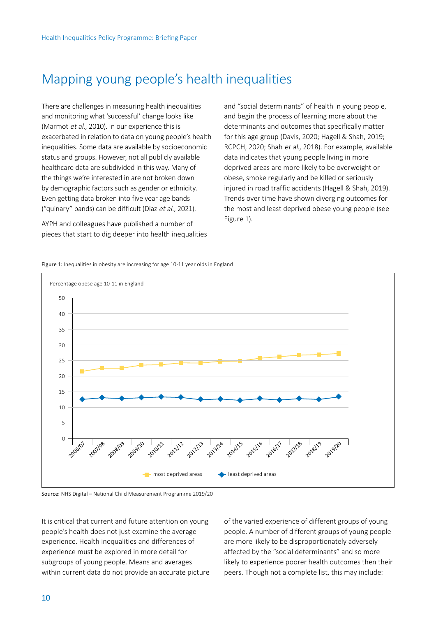# <span id="page-9-0"></span>Mapping young people's health inequalities

There are challenges in measuring health inequalities and monitoring what 'successful' change looks like (Marmot et al., 2010). In our experience this is exacerbated in relation to data on young people's health inequalities. Some data are available by socioeconomic status and groups. However, not all publicly available healthcare data are subdivided in this way. Many of the things we're interested in are not broken down by demographic factors such as gender or ethnicity. Even getting data broken into five year age bands ("quinary" bands) can be difficult (Diaz et al., 2021).

AYPH and colleagues have published a number of pieces that start to dig deeper into health inequalities and "social determinants" of health in young people, and begin the process of learning more about the determinants and outcomes that specifically matter for this age group (Davis, 2020; Hagell & Shah, 2019; RCPCH, 2020; Shah et al., 2018). For example, available data indicates that young people living in more deprived areas are more likely to be overweight or obese, smoke regularly and be killed or seriously injured in road traffic accidents (Hagell & Shah, 2019). Trends over time have shown diverging outcomes for the most and least deprived obese young people (see Figure 1).

Figure 1: Inequalities in obesity are increasing for age 10-11 year olds in England



Source: NHS Digital – National Child Measurement Programme 2019/20

It is critical that current and future attention on young people's health does not just examine the average experience. Health inequalities and differences of experience must be explored in more detail for subgroups of young people. Means and averages within current data do not provide an accurate picture of the varied experience of different groups of young people. A number of different groups of young people are more likely to be disproportionately adversely affected by the "social determinants" and so more likely to experience poorer health outcomes then their peers. Though not a complete list, this may include: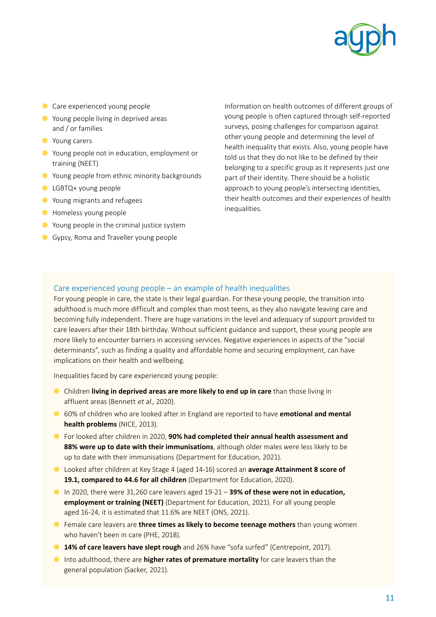

- <span id="page-10-0"></span>● Care experienced young people
- Young people living in deprived areas and / or families
- Young carers
- Young people not in education, employment or training (NEET)
- Young people from ethnic minority backgrounds
- LGBTQ+ young people
- Young migrants and refugees
- Homeless young people
- Young people in the criminal justice system
- **Gypsy, Roma and Traveller young people**

Information on health outcomes of different groups of young people is often captured through self-reported surveys, posing challenges for comparison against other young people and determining the level of health inequality that exists. Also, young people have told us that they do not like to be defined by their belonging to a specific group as it represents just one part of their identity. There should be a holistic approach to young people's intersecting identities, their health outcomes and their experiences of health inequalities.

#### Care experienced young people – an example of health inequalities

For young people in care, the state is their legal guardian. For these young people, the transition into adulthood is much more difficult and complex than most teens, as they also navigate leaving care and becoming fully independent. There are huge variations in the level and adequacy of support provided to care leavers after their 18th birthday. Without sufficient guidance and support, these young people are more likely to encounter barriers in accessing services. Negative experiences in aspects of the "social determinants", such as finding a quality and affordable home and securing employment, can have implications on their health and wellbeing.

Inequalities faced by care experienced young people:

- Children **living in deprived areas are more likely to end up in care** than those living in affluent areas (Bennett et al., 2020).
- 60% of children who are looked after in England are reported to have **emotional and mental health problems** (NICE, 2013).
- For looked after children in 2020, **90% had completed their annual health assessment and 88% were up to date with their immunisations**, although older males were less likely to be up to date with their immunisations (Department for Education, 2021).
- Looked after children at Key Stage 4 (aged 14-16) scored an **average Attainment 8 score of 19.1, compared to 44.6 for all children** (Department for Education, 2020).
- In 2020, there were 31,260 care leavers aged 19-21 **39% of these were not in education, employment or training (NEET)** (Department for Education, 2021). For all young people aged 16-24, it is estimated that 11.6% are NEET (ONS, 2021).
- Female care leavers are **three times as likely to become teenage mothers** than young women who haven't been in care (PHE, 2018).
- **14% of care leavers have slept rough** and 26% have "sofa surfed" (Centrepoint, 2017).
- Into adulthood, there are **higher rates of premature mortality** for care leavers than the general population (Sacker, 2021).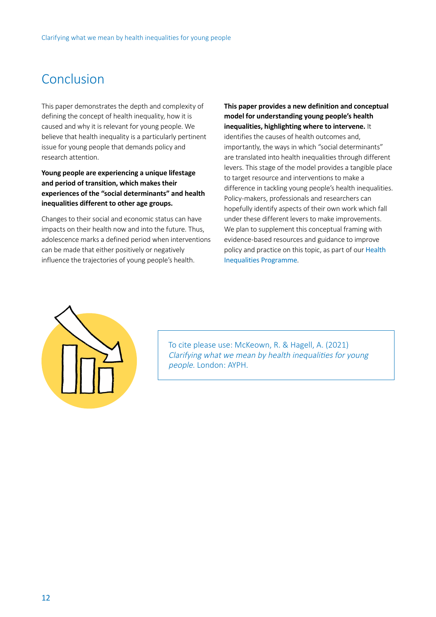## <span id="page-11-0"></span>Conclusion

This paper demonstrates the depth and complexity of defining the concept of health inequality, how it is caused and why it is relevant for young people. We believe that health inequality is a particularly pertinent issue for young people that demands policy and research attention.

**Young people are experiencing a unique lifestage and period of transition, which makes their experiences of the "social determinants" and health inequalities different to other age groups.** 

Changes to their social and economic status can have impacts on their health now and into the future. Thus, adolescence marks a defined period when interventions can be made that either positively or negatively influence the trajectories of young people's health.

**This paper provides a new definition and conceptual model for understanding young people's health inequalities, highlighting where to intervene.** It identifies the causes of health outcomes and, importantly, the ways in which "social determinants" are translated into health inequalities through different levers. This stage of the model provides a tangible place to target resource and interventions to make a difference in tackling young people's health inequalities. Policy-makers, professionals and researchers can hopefully identify aspects of their own work which fall under these different levers to make improvements. We plan to supplement this conceptual framing with evidence-based resources and guidance to improve policy and practice on this topic, as part of our [Health](https://www.youngpeopleshealth.org.uk/health-inequalities-programme)  [Inequalities Programme](https://www.youngpeopleshealth.org.uk/health-inequalities-programme).



To cite please use: McKeown, R. & Hagell, A. (2021) Clarifying what we mean by health inequalities for young people. London: AYPH.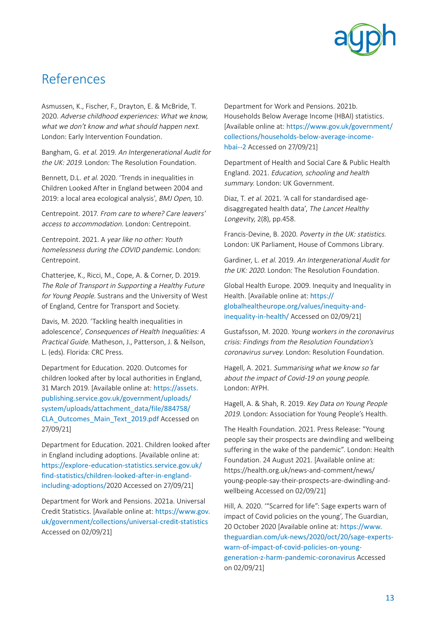

# <span id="page-12-0"></span>References

Asmussen, K., Fischer, F., Drayton, E. & McBride, T. 2020. Adverse childhood experiences: What we know, what we don't know and what should happen next. London: Early Intervention Foundation.

Bangham, G. et al. 2019. An Intergenerational Audit for the UK: 2019. London: The Resolution Foundation.

Bennett, D.L. et al. 2020. 'Trends in inequalities in Children Looked After in England between 2004 and 2019: a local area ecological analysis', BMJ Open, 10.

Centrepoint. 2017. From care to where? Care leavers' access to accommodation. London: Centrepoint.

Centrepoint. 2021. A year like no other: Youth homelessness during the COVID pandemic. London: Centrepoint.

Chatterjee, K., Ricci, M., Cope, A. & Corner, D. 2019. The Role of Transport in Supporting a Healthy Future for Young People. Sustrans and the University of West of England, Centre for Transport and Society.

Davis, M. 2020. 'Tackling health inequalities in adolescence', Consequences of Health Inequalities: A Practical Guide. Matheson, J., Patterson, J. & Neilson, L. (eds). Florida: CRC Press.

Department for Education. 2020. Outcomes for children looked after by local authorities in England, 31 March 2019. [Available online at: [https://assets.](https://assets.publishing.service.gov.uk/government/uploads/system/uploads/attachment_data/file/884758/CLA_Outcomes_Main_Text_2019.pdf) [publishing.service.gov.uk/government/uploads/](https://assets.publishing.service.gov.uk/government/uploads/system/uploads/attachment_data/file/884758/CLA_Outcomes_Main_Text_2019.pdf) [system/uploads/attachment\\_data/file/884758/](https://assets.publishing.service.gov.uk/government/uploads/system/uploads/attachment_data/file/884758/CLA_Outcomes_Main_Text_2019.pdf) [CLA\\_Outcomes\\_Main\\_Text\\_2019.pdf](https://assets.publishing.service.gov.uk/government/uploads/system/uploads/attachment_data/file/884758/CLA_Outcomes_Main_Text_2019.pdf) Accessed on 27/09/21]

Department for Education. 2021. Children looked after in England including adoptions. [Available online at: [https://explore-education-statistics.service.gov.uk/](https://explore-education-statistics.service.gov.uk/find-statistics/children-looked-after-in-england-including-adoptions/) [find-statistics/children-looked-after-in-england](https://explore-education-statistics.service.gov.uk/find-statistics/children-looked-after-in-england-including-adoptions/)[including-adoptions/](https://explore-education-statistics.service.gov.uk/find-statistics/children-looked-after-in-england-including-adoptions/)2020 Accessed on 27/09/21]

Department for Work and Pensions. 2021a. Universal Credit Statistics. [Available online at: [https://www.gov.](https://www.gov.uk/government/collections/universal-credit-statistics) [uk/government/collections/universal-credit-statistics](https://www.gov.uk/government/collections/universal-credit-statistics) Accessed on 02/09/21]

Department for Work and Pensions. 2021b. Households Below Average Income (HBAI) statistics. [Available online at: [https://www.gov.uk/government/](https://www.gov.uk/government/collections/households-below-average-income-hbai--2) [collections/households-below-average-income](https://www.gov.uk/government/collections/households-below-average-income-hbai--2)[hbai--2](https://www.gov.uk/government/collections/households-below-average-income-hbai--2) Accessed on 27/09/21]

Department of Health and Social Care & Public Health England. 2021. Education, schooling and health summary. London: UK Government.

Diaz, T. et al. 2021. 'A call for standardised agedisaggregated health data', The Lancet Healthy Longevity, 2(8), pp.458.

Francis-Devine, B. 2020. Poverty in the UK: statistics. London: UK Parliament, House of Commons Library.

Gardiner, L. et al. 2019. An Intergenerational Audit for the UK: 2020. London: The Resolution Foundation.

Global Health Europe. 2009. Inequity and Inequality in Health. [Available online at: [https://](https://globalhealtheurope.org/values/inequity-and-inequality-in-health/) [globalhealtheurope.org/values/inequity-and](https://globalhealtheurope.org/values/inequity-and-inequality-in-health/)[inequality-in-health/](https://globalhealtheurope.org/values/inequity-and-inequality-in-health/) Accessed on 02/09/21]

Gustafsson, M. 2020. Young workers in the coronavirus crisis: Findings from the Resolution Foundation's coronavirus survey. London: Resolution Foundation.

Hagell, A. 2021. Summarising what we know so far about the impact of Covid-19 on young people. London: AYPH.

Hagell, A. & Shah, R. 2019. Key Data on Young People 2019. London: Association for Young People's Health.

The Health Foundation. 2021. Press Release: "Young people say their prospects are dwindling and wellbeing suffering in the wake of the pandemic". London: Health Foundation. 24 August 2021. [Available online at: [https://health.org.uk/news-and-comment/news/](https://health.org.uk/news-and-comment/news/young-people-say-their-prospects-are-dwindling-and-wellbeing) [young-people-say-their-prospects-are-dwindling-and](https://health.org.uk/news-and-comment/news/young-people-say-their-prospects-are-dwindling-and-wellbeing)[wellbeing](https://health.org.uk/news-and-comment/news/young-people-say-their-prospects-are-dwindling-and-wellbeing) Accessed on 02/09/21]

Hill, A. 2020. '"Scarred for life": Sage experts warn of impact of Covid policies on the young', The Guardian, 20 October 2020 [Available online at: [https://www.](https://www.theguardian.com/uk-news/2020/oct/20/sage-experts-warn-of-impact-of-covid-policies-on-young-generation-z-harm-pandemic-coronavirus) [theguardian.com/uk-news/2020/oct/20/sage-experts](https://www.theguardian.com/uk-news/2020/oct/20/sage-experts-warn-of-impact-of-covid-policies-on-young-generation-z-harm-pandemic-coronavirus)[warn-of-impact-of-covid-policies-on-young](https://www.theguardian.com/uk-news/2020/oct/20/sage-experts-warn-of-impact-of-covid-policies-on-young-generation-z-harm-pandemic-coronavirus)[generation-z-harm-pandemic-coronavirus](https://www.theguardian.com/uk-news/2020/oct/20/sage-experts-warn-of-impact-of-covid-policies-on-young-generation-z-harm-pandemic-coronavirus) Accessed on 02/09/21]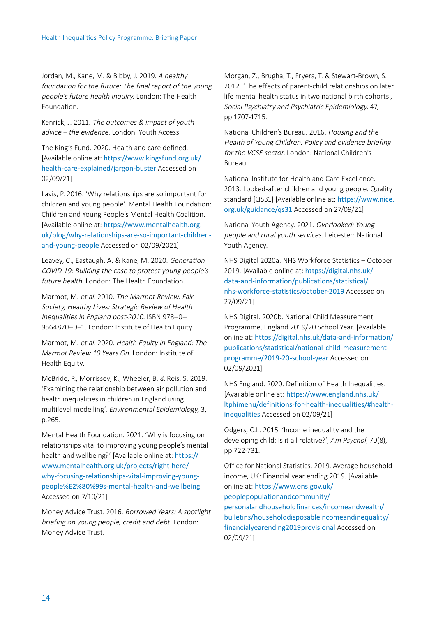Jordan, M., Kane, M. & Bibby, J. 2019. A healthy foundation for the future: The final report of the young people's future health inquiry. London: The Health Foundation.

Kenrick, J. 2011. The outcomes & impact of youth advice – the evidence. London: Youth Access.

The King's Fund. 2020. Health and care defined. [Available online at: [https://www.kingsfund.org.uk/](https://www.kingsfund.org.uk/health-care-explained/jargon-buster) [health-care-explained/jargon-buster](https://www.kingsfund.org.uk/health-care-explained/jargon-buster) Accessed on 02/09/21]

Lavis, P. 2016. 'Why relationships are so important for children and young people'. Mental Health Foundation: Children and Young People's Mental Health Coalition. [Available online at: [https://www.mentalhealth.org.](https://www.mentalhealth.org.uk/blog/why-relationships-are-so-important-children-and-young-people) [uk/blog/why-relationships-are-so-important-children](https://www.mentalhealth.org.uk/blog/why-relationships-are-so-important-children-and-young-people)[and-young-people](https://www.mentalhealth.org.uk/blog/why-relationships-are-so-important-children-and-young-people) Accessed on 02/09/2021]

Leavey, C., Eastaugh, A. & Kane, M. 2020. Generation COVID-19: Building the case to protect young people's future health. London: The Health Foundation.

Marmot, M. et al. 2010. The Marmot Review. Fair Society, Healthy Lives: Strategic Review of Health Inequalities in England post-2010. ISBN 978–0– 9564870–0–1. London: Institute of Health Equity.

Marmot, M. et al. 2020. Health Equity in England: The Marmot Review 10 Years On. London: Institute of Health Equity.

McBride, P., Morrissey, K., Wheeler, B. & Reis, S. 2019. 'Examining the relationship between air pollution and health inequalities in children in England using multilevel modelling', Environmental Epidemiology, 3, p.265.

Mental Health Foundation. 2021. 'Why is focusing on relationships vital to improving young people's mental health and wellbeing?' [Available online at: [https://](https://www.mentalhealth.org.uk/projects/right-here/why-focusing-relationships-vital-improving-young-people%E2%80%99s-mental-health-and-wellbeing) [www.mentalhealth.org.uk/projects/right-here/](https://www.mentalhealth.org.uk/projects/right-here/why-focusing-relationships-vital-improving-young-people%E2%80%99s-mental-health-and-wellbeing) [why-focusing-relationships-vital-improving-young](https://www.mentalhealth.org.uk/projects/right-here/why-focusing-relationships-vital-improving-young-people%E2%80%99s-mental-health-and-wellbeing)[people%E2%80%99s-mental-health-and-wellbeing](https://www.mentalhealth.org.uk/projects/right-here/why-focusing-relationships-vital-improving-young-people%E2%80%99s-mental-health-and-wellbeing) Accessed on 7/10/21]

Money Advice Trust. 2016. Borrowed Years: A spotlight briefing on young people, credit and debt. London: Money Advice Trust.

Morgan, Z., Brugha, T., Fryers, T. & Stewart-Brown, S. 2012. 'The effects of parent-child relationships on later life mental health status in two national birth cohorts', Social Psychiatry and Psychiatric Epidemiology, 47, pp.1707-1715.

National Children's Bureau. 2016. Housing and the Health of Young Children: Policy and evidence briefing for the VCSE sector. London: National Children's Bureau.

National Institute for Health and Care Excellence. 2013. Looked-after children and young people. Quality standard [QS31] [Available online at: [https://www.nice.](https://www.nice.org.uk/guidance/qs31) [org.uk/guidance/qs31](https://www.nice.org.uk/guidance/qs31) Accessed on 27/09/21]

National Youth Agency. 2021. Overlooked: Young people and rural youth services. Leicester: National Youth Agency.

NHS Digital 2020a. NHS Workforce Statistics – October 2019. [Available online at: [https://digital.nhs.uk/](https://digital.nhs.uk/data-and-information/publications/statistical/nhs-workforce-statistics/october-2019) [data-and-information/publications/statistical/](https://digital.nhs.uk/data-and-information/publications/statistical/nhs-workforce-statistics/october-2019) [nhs-workforce-statistics/october-2019](https://digital.nhs.uk/data-and-information/publications/statistical/nhs-workforce-statistics/october-2019) Accessed on 27/09/21]

NHS Digital. 2020b. National Child Measurement Programme, England 2019/20 School Year. [Available online at: [https://digital.nhs.uk/data-and-information/](https://digital.nhs.uk/data-and-information/publications/statistical/national-child-measurement-programme/2019-20-school-year) [publications/statistical/national-child-measurement](https://digital.nhs.uk/data-and-information/publications/statistical/national-child-measurement-programme/2019-20-school-year)[programme/2019-20-school-year](https://digital.nhs.uk/data-and-information/publications/statistical/national-child-measurement-programme/2019-20-school-year) Accessed on 02/09/2021]

NHS England. 2020. Definition of Health Inequalities. [Available online at: [https://www.england.nhs.uk/](https://www.england.nhs.uk/ltphimenu/definitions-for-health-inequalities/#health-inequalities) [ltphimenu/definitions-for-health-inequalities/#health](https://www.england.nhs.uk/ltphimenu/definitions-for-health-inequalities/#health-inequalities)[inequalities](https://www.england.nhs.uk/ltphimenu/definitions-for-health-inequalities/#health-inequalities) Accessed on 02/09/21]

Odgers, C.L. 2015. 'Income inequality and the developing child: Is it all relative?', Am Psychol, 70(8), pp.722-731.

Office for National Statistics. 2019. Average household income, UK: Financial year ending 2019. [Available online at: [https://www.ons.gov.uk/](https://www.ons.gov.uk/peoplepopulationandcommunity/personalandhouseholdfinances/incomeandwealth/bulletins/householddisposableincomeandinequality/financialyearending2019provisional) [peoplepopulationandcommunity/](https://www.ons.gov.uk/peoplepopulationandcommunity/personalandhouseholdfinances/incomeandwealth/bulletins/householddisposableincomeandinequality/financialyearending2019provisional) [personalandhouseholdfinances/incomeandwealth/](https://www.ons.gov.uk/peoplepopulationandcommunity/personalandhouseholdfinances/incomeandwealth/bulletins/householddisposableincomeandinequality/financialyearending2019provisional) [bulletins/householddisposableincomeandinequality/](https://www.ons.gov.uk/peoplepopulationandcommunity/personalandhouseholdfinances/incomeandwealth/bulletins/householddisposableincomeandinequality/financialyearending2019provisional) [financialyearending2019provisional](https://www.ons.gov.uk/peoplepopulationandcommunity/personalandhouseholdfinances/incomeandwealth/bulletins/householddisposableincomeandinequality/financialyearending2019provisional) Accessed on 02/09/21]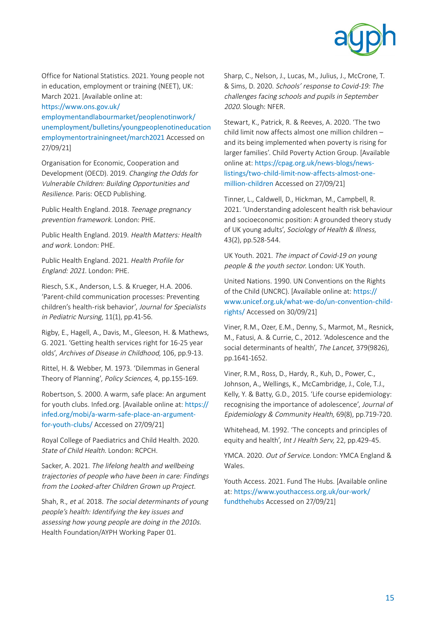

Office for National Statistics. 2021. Young people not in education, employment or training (NEET), UK: March 2021. [Available online at:

https://www.ons.gov.uk/

employmentandlabourmarket/peoplenotinwork/ unemployment/bulletins/youngpeoplenotineducation employmentortrainingneet/march2021 Accessed on 27/09/21]

Organisation for Economic, Cooperation and Development (OECD). 2019. Changing the Odds for Vulnerable Children: Building Opportunities and Resilience. Paris: OECD Publishing.

Public Health England. 2018. Teenage pregnancy prevention framework. London: PHE.

Public Health England. 2019. Health Matters: Health and work. London: PHE.

Public Health England. 2021. Health Profile for England: 2021. London: PHE.

Riesch, S.K., Anderson, L.S. & Krueger, H.A. 2006. 'Parent-child communication processes: Preventing children's health-risk behavior', Journal for Specialists in Pediatric Nursing, 11(1), pp.41-56.

Rigby, E., Hagell, A., Davis, M., Gleeson, H. & Mathews, G. 2021. 'Getting health services right for 16-25 year olds', Archives of Disease in Childhood, 106, pp.9-13.

Rittel, H. & Webber, M. 1973. 'Dilemmas in General Theory of Planning', Policy Sciences, 4, pp.155-169.

Robertson, S. 2000. A warm, safe place: An argument for youth clubs. Infed.org. [Available online at: [https://](https://infed.org/mobi/a-warm-safe-place-an-argument-for-youth-clubs/) [infed.org/mobi/a-warm-safe-place-an-argument](https://infed.org/mobi/a-warm-safe-place-an-argument-for-youth-clubs/)[for-youth-clubs/](https://infed.org/mobi/a-warm-safe-place-an-argument-for-youth-clubs/) Accessed on 27/09/21]

Royal College of Paediatrics and Child Health. 2020. State of Child Health. London: RCPCH.

Sacker, A. 2021. The lifelong health and wellbeing trajectories of people who have been in care: Findings from the Looked-after Children Grown up Project.

Shah, R., et al. 2018. The social determinants of young people's health: Identifying the key issues and assessing how young people are doing in the 2010s. Health Foundation/AYPH Working Paper 01.

Sharp, C., Nelson, J., Lucas, M., Julius, J., McCrone, T. & Sims, D. 2020. Schools' response to Covid-19: The challenges facing schools and pupils in September 2020. Slough: NFER.

Stewart, K., Patrick, R. & Reeves, A. 2020. 'The two child limit now affects almost one million children – and its being implemented when poverty is rising for larger families'. Child Poverty Action Group. [Available online at: [https://cpag.org.uk/news-blogs/news](https://cpag.org.uk/news-blogs/news-listings/two-child-limit-now-affects-almost-one-million-children)[listings/two-child-limit-now-affects-almost-one](https://cpag.org.uk/news-blogs/news-listings/two-child-limit-now-affects-almost-one-million-children)[million-children](https://cpag.org.uk/news-blogs/news-listings/two-child-limit-now-affects-almost-one-million-children) Accessed on 27/09/21]

Tinner, L., Caldwell, D., Hickman, M., Campbell, R. 2021. 'Understanding adolescent health risk behaviour and socioeconomic position: A grounded theory study of UK young adults', Sociology of Health & Illness, 43(2), pp.528-544.

UK Youth. 2021. The impact of Covid-19 on young people & the youth sector. London: UK Youth.

United Nations. 1990. UN Conventions on the Rights of the Child (UNCRC). [Available online at: [https://](https://www.unicef.org.uk/what-we-do/un-convention-child-rights/) [www.unicef.org.uk/what-we-do/un-convention-child](https://www.unicef.org.uk/what-we-do/un-convention-child-rights/)[rights/](https://www.unicef.org.uk/what-we-do/un-convention-child-rights/) Accessed on 30/09/21]

Viner, R.M., Ozer, E.M., Denny, S., Marmot, M., Resnick, M., Fatusi, A. & Currie, C., 2012. 'Adolescence and the social determinants of health', The Lancet, 379(9826), pp.1641-1652.

Viner, R.M., Ross, D., Hardy, R., Kuh, D., Power, C., Johnson, A., Wellings, K., McCambridge, J., Cole, T.J., Kelly, Y. & Batty, G.D., 2015. 'Life course epidemiology: recognising the importance of adolescence', Journal of Epidemiology & Community Health, 69(8), pp.719-720.

Whitehead, M. 1992. 'The concepts and principles of equity and health', Int J Health Serv, 22, pp.429-45.

YMCA. 2020. Out of Service. London: YMCA England & Wales.

Youth Access. 2021. Fund The Hubs. [Available online at: [https://www.youthaccess.org.uk/our-work/](https://www.youthaccess.org.uk/our-work/fundthehubs) [fundthehubs](https://www.youthaccess.org.uk/our-work/fundthehubs) Accessed on 27/09/21]